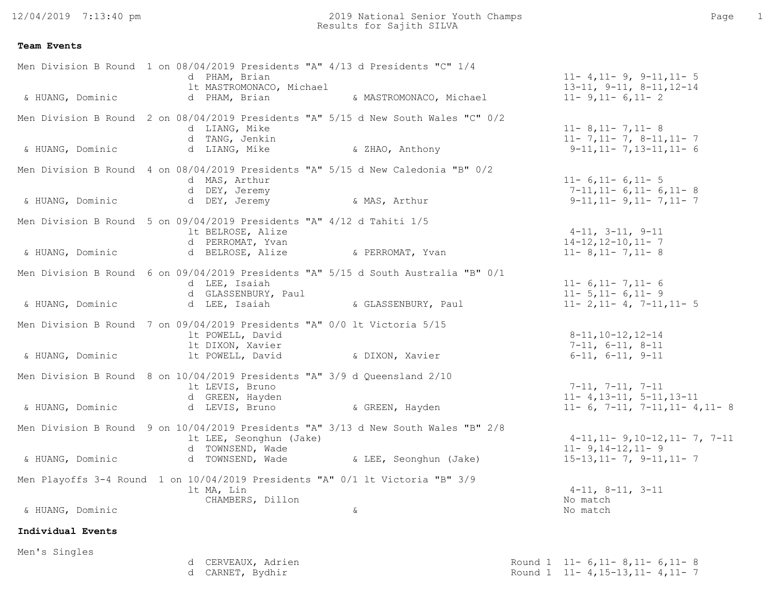12/04/2019 7:13:40 pm

| Men Division B Round 1 on 08/04/2019 Presidents "A" 4/13 d Presidents "C" 1/4<br>d PHAM, Brian<br>1t MASTROMONACO, Michael        | $11 - 4, 11 - 9, 9 - 11, 11 - 5$<br>$13-11, 9-11, 8-11, 12-14$                                                     |
|-----------------------------------------------------------------------------------------------------------------------------------|--------------------------------------------------------------------------------------------------------------------|
| & HUANG, Dominic<br>d PHAM, Brian                                                                                                 | & MASTROMONACO, Michael<br>$11 - 9, 11 - 6, 11 - 2$                                                                |
| Men Division B Round 2 on 08/04/2019 Presidents "A" 5/15 d New South Wales "C" 0/2<br>d LIANG, Mike<br>d TANG, Jenkin             | $11 - 8$ , $11 - 7$ , $11 - 8$<br>$11 - 7, 11 - 7, 8 - 11, 11 - 7$<br>& ZHAO, Anthony<br>$9-11, 11-7, 13-11, 11-6$ |
| & HUANG, Dominic<br>d LIANG, Mike                                                                                                 |                                                                                                                    |
| Men Division B Round 4 on 08/04/2019 Presidents "A" 5/15 d New Caledonia "B" 0/2<br>d MAS, Arthur<br>d DEY, Jeremy                | $11 - 6$ , $11 - 6$ , $11 - 5$<br>$7-11, 11-6, 11-6, 11-8$                                                         |
| & HUANG, Dominic<br>d DEY, Jeremy                                                                                                 | & MAS, Arthur<br>$9-11, 11-9, 11-7, 11-7$                                                                          |
| Men Division B Round 5 on 09/04/2019 Presidents "A" 4/12 d Tahiti 1/5<br>lt BELROSE, Alize<br>d PERROMAT, Yvan                    | $4-11, 3-11, 9-11$<br>$14 - 12$ , $12 - 10$ , $11 - 7$                                                             |
| & HUANG, Dominic<br>d BELROSE, Alize<br>& PERROMAT, Yvan                                                                          | $11 - 8$ , 11 - 7, 11 - 8                                                                                          |
| Men Division B Round 6 on 09/04/2019 Presidents "A" 5/15 d South Australia "B" 0/1<br>d LEE, Isaiah<br>d GLASSENBURY, Paul        | $11 - 6, 11 - 7, 11 - 6$<br>$11 - 5, 11 - 6, 11 - 9$                                                               |
| d LEE, Isaiah<br>& HUANG, Dominic                                                                                                 | & GLASSENBURY, Paul<br>$11 - 2, 11 - 4, 7 - 11, 11 - 5$                                                            |
| Men Division B Round 7 on 09/04/2019 Presidents "A" 0/0 lt Victoria 5/15<br>lt POWELL, David<br>It DIXON, Xavier                  | $8 - 11, 10 - 12, 12 - 14$<br>$7-11, 6-11, 8-11$                                                                   |
| & DIXON, Xavier<br>& HUANG, Dominic<br>lt POWELL, David                                                                           | $6-11, 6-11, 9-11$                                                                                                 |
| Men Division B Round 8 on 10/04/2019 Presidents "A" 3/9 d Queensland 2/10<br>1t LEVIS, Bruno<br>d GREEN, Hayden                   | 7-11, 7-11, 7-11<br>$11 - 4, 13 - 11, 5 - 11, 13 - 11$                                                             |
| & HUANG, Dominic<br>d LEVIS, Bruno (GREEN, Hayden                                                                                 | $11-6$ , 7-11, 7-11, 11- 4, 11- 8                                                                                  |
| Men Division B Round 9 on 10/04/2019 Presidents "A" 3/13 d New South Wales "B" 2/8<br>It LEE, Seonghun (Jake)<br>d TOWNSEND, Wade | $4-11, 11-9, 10-12, 11-7, 7-11$<br>$11 - 9, 14 - 12, 11 - 9$                                                       |
| d TOWNSEND, Wade<br>& HUANG, Dominic                                                                                              | & LEE, Seonghun (Jake)<br>$15-13, 11-7, 9-11, 11-7$                                                                |
| Men Playoffs 3-4 Round 1 on 10/04/2019 Presidents "A" 0/1 lt Victoria "B" 3/9<br>lt MA, Lin                                       | $4-11, 8-11, 3-11$                                                                                                 |
| CHAMBERS, Dillon<br>& HUANG, Dominic<br>$\delta$                                                                                  | No match<br>No match                                                                                               |
| Individual Events                                                                                                                 |                                                                                                                    |
| Men's Singles                                                                                                                     |                                                                                                                    |

| CERVEAUX, Adrien    | Round 1 $11 - 6, 11 - 8, 11 - 6, 11 - 8$ |
|---------------------|------------------------------------------|
| , Bydhir<br>CARNET, | Round 1 11-4,15-13,11-4,11-7             |